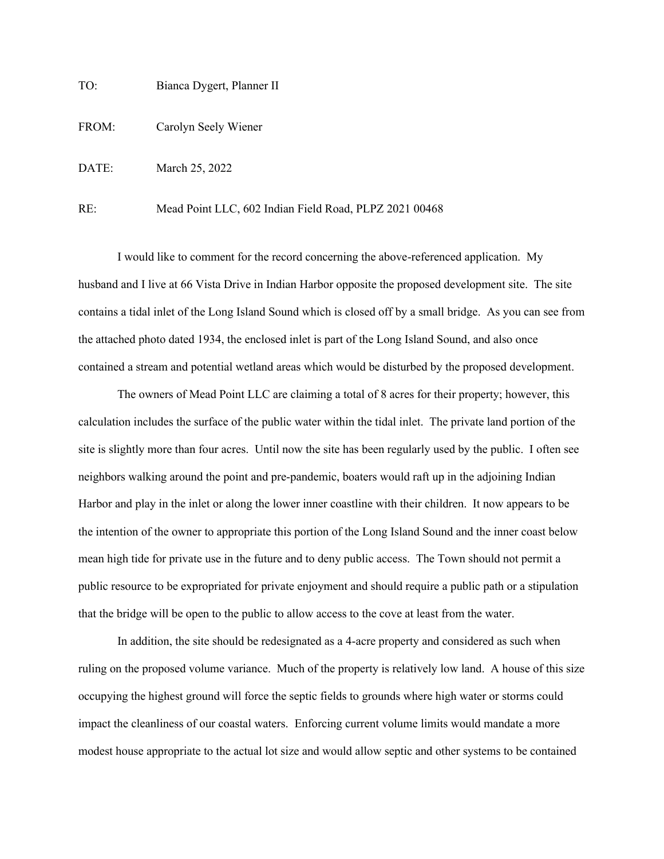TO: Bianca Dygert, Planner II

FROM: Carolyn Seely Wiener

DATE: March 25, 2022

RE: Mead Point LLC, 602 Indian Field Road, PLPZ 2021 00468

I would like to comment for the record concerning the above-referenced application. My husband and I live at 66 Vista Drive in Indian Harbor opposite the proposed development site. The site contains a tidal inlet of the Long Island Sound which is closed off by a small bridge. As you can see from the attached photo dated 1934, the enclosed inlet is part of the Long Island Sound, and also once contained a stream and potential wetland areas which would be disturbed by the proposed development.

The owners of Mead Point LLC are claiming a total of 8 acres for their property; however, this calculation includes the surface of the public water within the tidal inlet. The private land portion of the site is slightly more than four acres. Until now the site has been regularly used by the public. I often see neighbors walking around the point and pre-pandemic, boaters would raft up in the adjoining Indian Harbor and play in the inlet or along the lower inner coastline with their children. It now appears to be the intention of the owner to appropriate this portion of the Long Island Sound and the inner coast below mean high tide for private use in the future and to deny public access. The Town should not permit a public resource to be expropriated for private enjoyment and should require a public path or a stipulation that the bridge will be open to the public to allow access to the cove at least from the water.

In addition, the site should be redesignated as a 4-acre property and considered as such when ruling on the proposed volume variance. Much of the property is relatively low land. A house of this size occupying the highest ground will force the septic fields to grounds where high water or storms could impact the cleanliness of our coastal waters. Enforcing current volume limits would mandate a more modest house appropriate to the actual lot size and would allow septic and other systems to be contained